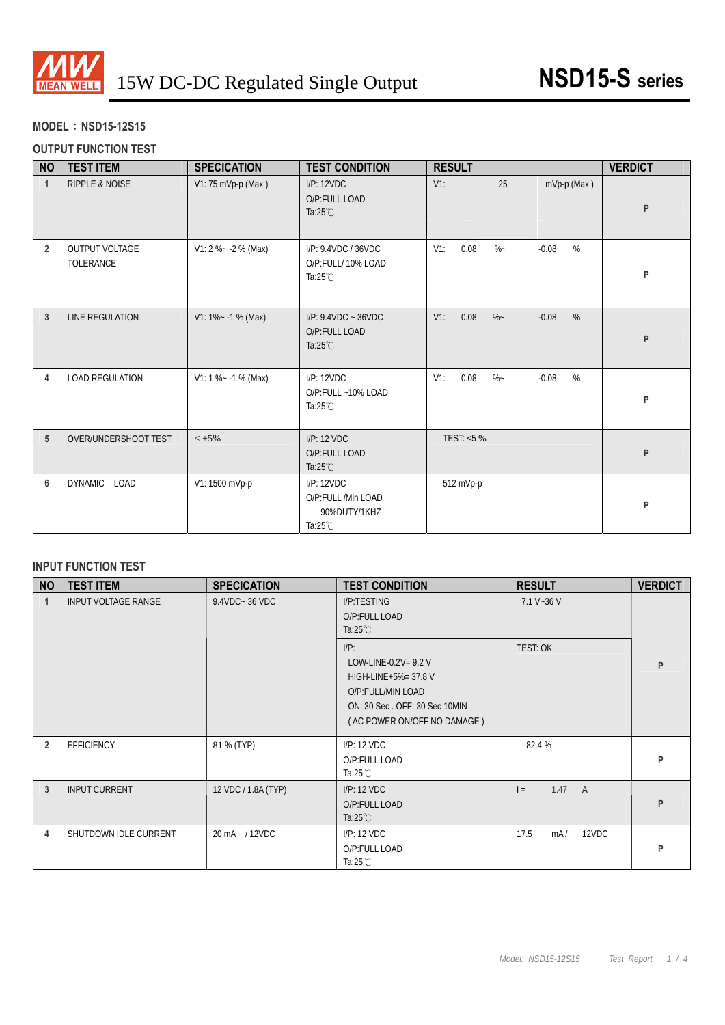

## **MODEL**:**NSD15-12S15**

## **OUTPUT FUNCTION TEST**

| <b>NO</b>       | <b>TEST ITEM</b>                   | <b>SPECICATION</b>      | <b>TEST CONDITION</b>                                                  | <b>RESULT</b>                            | <b>VERDICT</b> |
|-----------------|------------------------------------|-------------------------|------------------------------------------------------------------------|------------------------------------------|----------------|
| $\mathbf{1}$    | <b>RIPPLE &amp; NOISE</b>          | V1: 75 mVp-p (Max)      | I/P: 12VDC<br>O/P:FULL LOAD<br>Ta: $25^{\circ}$ C                      | 25<br>$V1$ :<br>$mVp-p$ (Max)            | P              |
| $\overline{2}$  | <b>OUTPUT VOLTAGE</b><br>TOLERANCE | V1: 2 %~ -2 % (Max)     | I/P: 9.4VDC / 36VDC<br>O/P:FULL/ 10% LOAD<br>Ta: $25^{\circ}$ C        | %<br>0.08<br>$\%$ ~<br>$V1$ :<br>$-0.08$ | P              |
| $\mathbf{3}$    | <b>LINE REGULATION</b>             | $V1: 1\% ~ - 1\%$ (Max) | $I/P$ : 9.4VDC ~ 36VDC<br>O/P:FULL LOAD<br>Ta: $25^{\circ}$ C          | %<br>0.08<br>$-0.08$<br>$V1$ :<br>$\%$ ~ | P              |
| 4               | <b>LOAD REGULATION</b>             | $V1: 1 % ~ -1 % (Max)$  | I/P: 12VDC<br>O/P:FULL ~10% LOAD<br>Ta: $25^{\circ}$ C                 | %<br>0.08<br>$-0.08$<br>$V1$ :<br>$\%$ ~ | P              |
| $5\phantom{.0}$ | OVER/UNDERSHOOT TEST               | $< +5%$                 | I/P: 12 VDC<br>O/P:FULL LOAD<br>Ta: $25^{\circ}$ C                     | TEST: <5 %                               | P              |
| 6               | <b>DYNAMIC</b><br>LOAD             | V1: 1500 mVp-p          | I/P: 12VDC<br>O/P:FULL /Min LOAD<br>90%DUTY/1KHZ<br>Ta: $25^{\circ}$ C | 512 mVp-p                                | P              |

### **INPUT FUNCTION TEST**

| <b>NO</b>      | <b>TEST ITEM</b>      | <b>SPECICATION</b>  | <b>TEST CONDITION</b>                                                                                                                          | <b>RESULT</b>        | <b>VERDICT</b> |
|----------------|-----------------------|---------------------|------------------------------------------------------------------------------------------------------------------------------------------------|----------------------|----------------|
|                | INPUT VOLTAGE RANGE   | 9.4VDC~36 VDC       | I/P:TESTING<br>O/P:FULL LOAD<br>Ta: $25^{\circ}$ C                                                                                             | $7.1 V - 36 V$       |                |
|                |                       |                     | $I/P$ :<br>LOW-LINE-0.2V= $9.2$ V<br>HIGH-LINE+5%= 37.8 V<br>O/P:FULL/MIN LOAD<br>ON: 30 Sec. OFF: 30 Sec 10MIN<br>(AC POWER ON/OFF NO DAMAGE) | <b>TEST: OK</b>      | P              |
| $\overline{2}$ | <b>EFFICIENCY</b>     | 81 % (TYP)          | I/P: 12 VDC<br>O/P:FULL LOAD<br>Ta: $25^{\circ}$ C                                                                                             | 82.4 %               | P              |
| 3              | <b>INPUT CURRENT</b>  | 12 VDC / 1.8A (TYP) | I/P: 12 VDC<br>O/P:FULL LOAD<br>Ta: $25^{\circ}$ C                                                                                             | 1.47 A<br>$=$        | P              |
| 4              | SHUTDOWN IDLE CURRENT | 20 mA / 12VDC       | I/P: 12 VDC<br>O/P:FULL LOAD<br>Ta:25 $°C$                                                                                                     | 17.5<br>12VDC<br>mA/ | P              |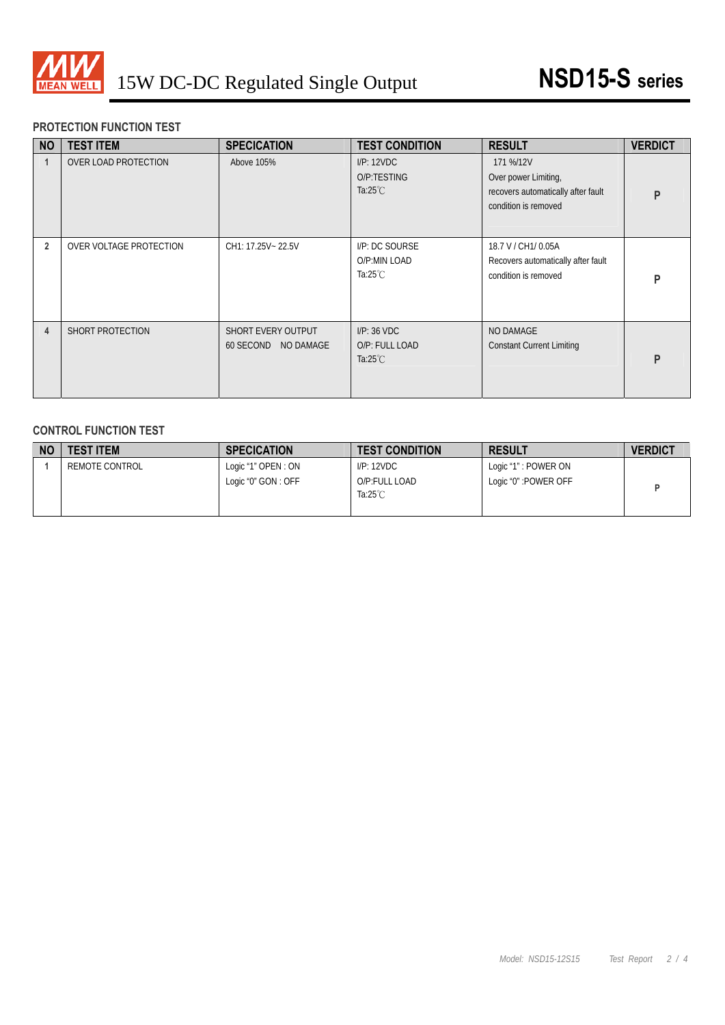

## **PROTECTION FUNCTION TEST**

| <b>NO</b>      | <b>TEST ITEM</b>            | <b>SPECICATION</b>                        | <b>TEST CONDITION</b>                               | <b>RESULT</b>                                                                                   | <b>VERDICT</b> |
|----------------|-----------------------------|-------------------------------------------|-----------------------------------------------------|-------------------------------------------------------------------------------------------------|----------------|
|                | <b>OVER LOAD PROTECTION</b> | Above 105%                                | I/P: 12VDC<br>O/P:TESTING<br>Ta: $25^{\circ}$ C     | 171 %/12V<br>Over power Limiting,<br>recovers automatically after fault<br>condition is removed | D              |
| $\overline{2}$ | OVER VOLTAGE PROTECTION     | CH1: 17.25V~ 22.5V                        | I/P: DC SOURSE<br>O/P:MIN LOAD<br>Ta:25 $°C$        | 18.7 V / CH1/ 0.05A<br>Recovers automatically after fault<br>condition is removed               | ם              |
| 4              | SHORT PROTECTION            | SHORT EVERY OUTPUT<br>60 SECOND NO DAMAGE | I/P: 36 VDC<br>O/P: FULL LOAD<br>Ta: $25^{\circ}$ C | NO DAMAGE<br><b>Constant Current Limiting</b>                                                   | D              |

## **CONTROL FUNCTION TEST**

| <b>NO</b> | <b>TEST ITEM</b> | <b>SPECICATION</b>                        | <b>TEST CONDITION</b>                           | <b>RESULT</b>                                 | <b>VERDICT</b> |
|-----------|------------------|-------------------------------------------|-------------------------------------------------|-----------------------------------------------|----------------|
|           | REMOTE CONTROL   | Logic "1" OPEN: ON<br>Logic "0" GON : OFF | IP:12VDC<br>O/P:FULL LOAD<br>Ta: $25^{\circ}$ C | Logic "1" : POWER ON<br>Logic "0" : POWER OFF |                |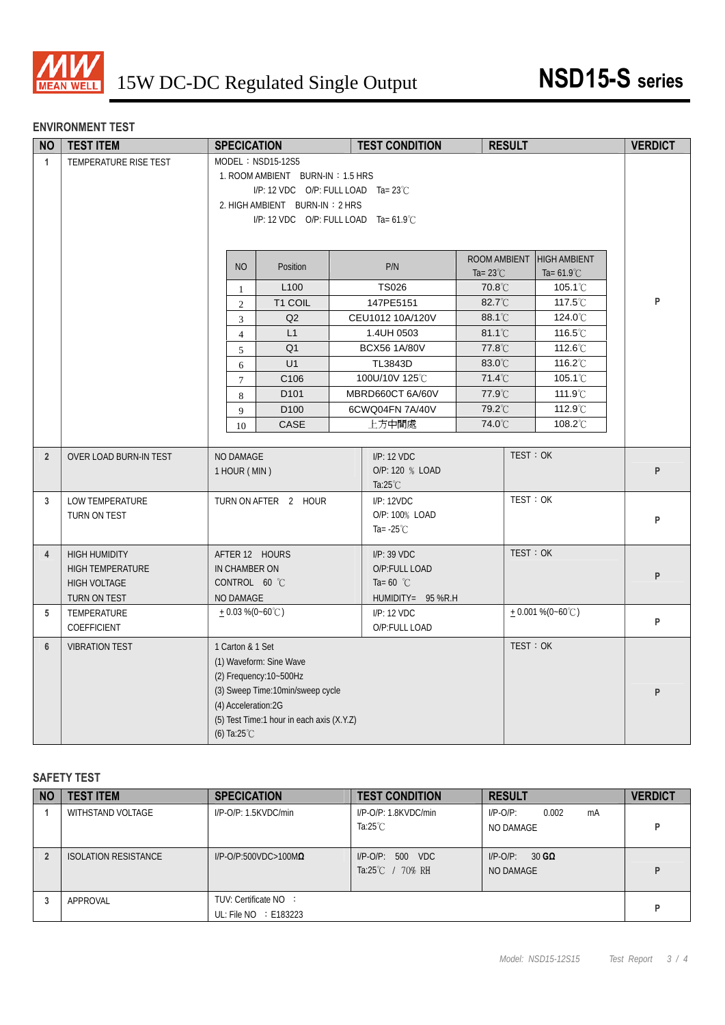

# **ENVIRONMENT TEST**

| <b>NO</b>      | <b>TEST ITEM</b>              | <b>SPECICATION</b>                        | <b>TEST CONDITION</b>                           | <b>RESULT</b>      |                            | <b>VERDICT</b> |
|----------------|-------------------------------|-------------------------------------------|-------------------------------------------------|--------------------|----------------------------|----------------|
| $\mathbf{1}$   | TEMPERATURE RISE TEST         | MODEL: NSD15-12S5                         |                                                 |                    |                            |                |
|                |                               | 1. ROOM AMBIENT BURN-IN: 1.5 HRS          |                                                 |                    |                            |                |
|                |                               |                                           | $I/P$ : 12 VDC O/P: FULL LOAD Ta= 23°C          |                    |                            |                |
|                |                               | 2. HIGH AMBIENT BURN-IN: 2 HRS            |                                                 |                    |                            |                |
|                |                               |                                           | I/P: 12 VDC O/P: FULL LOAD Ta= $61.9^{\circ}$ C |                    |                            |                |
|                |                               |                                           |                                                 |                    |                            |                |
|                |                               |                                           |                                                 | ROOM AMBIENT       | <b>HIGH AMBIENT</b>        |                |
|                |                               | <b>NO</b><br>Position                     | P/N                                             | Ta= $23^{\circ}$ C | Ta= $61.9^{\circ}$ C       |                |
|                |                               | L <sub>100</sub><br>$\mathbf{1}$          | <b>TS026</b>                                    | 70.8°C             | $105.1^{\circ}$            |                |
|                |                               | T1 COIL<br>$\overline{2}$                 | 147PE5151                                       | 82.7°C             | 117.5℃                     | P              |
|                |                               | Q2<br>3                                   | CEU1012 10A/120V                                | 88.1°C             | 124.0°C                    |                |
|                |                               | L1<br>$\overline{4}$                      | 1.4UH 0503                                      | 81.1°C             | 116.5°C                    |                |
|                |                               | Q <sub>1</sub><br>5                       | <b>BCX56 1A/80V</b>                             | 77.8°C             | 112.6°C                    |                |
|                |                               | U1<br>6                                   | TL3843D                                         | 83.0°C             | 116.2°C                    |                |
|                |                               | C <sub>106</sub><br>$\tau$                | 100U/10V 125°C                                  | 71.4°C             | 105.1 <sup>°</sup> C       |                |
|                |                               | D <sub>101</sub><br>8                     | MBRD660CT 6A/60V                                | 77.9°C             | 111.9°C                    |                |
|                |                               | D <sub>100</sub><br>9                     | 6CWQ04FN 7A/40V                                 | 79.2°C             | 112.9°C                    |                |
|                |                               | CASE<br>10                                | 上方中間處                                           | 74.0°C             | 108.2°C                    |                |
|                |                               |                                           |                                                 |                    |                            |                |
| $\overline{2}$ | <b>OVER LOAD BURN-IN TEST</b> | NO DAMAGE                                 | I/P: 12 VDC                                     | TEST: OK           |                            |                |
|                |                               | 1 HOUR (MIN)                              | O/P: 120 % LOAD                                 |                    |                            | P              |
|                |                               |                                           | Ta: $25^{\circ}$ C                              |                    |                            |                |
| 3              | LOW TEMPERATURE               | TURN ON AFTER 2 HOUR                      | I/P: 12VDC                                      | TEST: OK           |                            |                |
|                | TURN ON TEST                  |                                           | O/P: 100% LOAD                                  |                    |                            | P              |
|                |                               |                                           | Ta= $-25^{\circ}$ C                             |                    |                            |                |
| 4              | <b>HIGH HUMIDITY</b>          | AFTER 12 HOURS                            | I/P: 39 VDC                                     | TEST: OK           |                            |                |
|                | <b>HIGH TEMPERATURE</b>       | IN CHAMBER ON                             | O/P:FULL LOAD                                   |                    |                            |                |
|                | <b>HIGH VOLTAGE</b>           | CONTROL 60 °C                             | Ta= 60 $^{\circ}$ C                             |                    |                            | P              |
|                | TURN ON TEST                  | NO DAMAGE                                 | HUMIDITY= 95 %R.H                               |                    |                            |                |
| 5              | TEMPERATURE                   | $+0.03\%$ (0~60°C)                        | I/P: 12 VDC                                     |                    | $+0.001\% (0-60^{\circ}C)$ |                |
|                | COEFFICIENT                   |                                           | O/P:FULL LOAD                                   |                    |                            | P              |
| $6\phantom{1}$ | <b>VIBRATION TEST</b>         | 1 Carton & 1 Set                          |                                                 | TEST: OK           |                            |                |
|                |                               | (1) Waveform: Sine Wave                   |                                                 |                    |                            |                |
|                |                               | $(2)$ Frequency: $10 - 500$ Hz            |                                                 |                    |                            |                |
|                |                               | (3) Sweep Time:10min/sweep cycle          |                                                 |                    |                            | P              |
|                |                               | (4) Acceleration:2G                       |                                                 |                    |                            |                |
|                |                               | (5) Test Time:1 hour in each axis (X.Y.Z) |                                                 |                    |                            |                |
|                |                               | (6) Ta: $25^{\circ}$ C                    |                                                 |                    |                            |                |

#### **SAFETY TEST**

| <b>NO</b> | <b>TEST ITEM</b>     | <b>SPECICATION</b>                                  | <b>TEST CONDITION</b>                             | <b>RESULT</b>                           | <b>VERDICT</b> |
|-----------|----------------------|-----------------------------------------------------|---------------------------------------------------|-----------------------------------------|----------------|
|           | WITHSTAND VOLTAGE    | $I/P$ -O/P: 1.5KVDC/min                             | $I/P$ -O/P: 1.8KVDC/min<br>Ta: $25^{\circ}$ C     | 0.002<br>$I/P$ -O/P:<br>mA<br>NO DAMAGE |                |
|           | ISOLATION RESISTANCE | $I/P$ -O/P:500VDC>100M $\Omega$                     | $I/P$ -O/P: 500 VDC<br>Ta:25 $\degree$ C / 70% RH | $30$ GQ<br>$I/P$ - $O/P$ :<br>NO DAMAGE |                |
|           | APPROVAL             | TUV: Certificate NO :<br>UL: File $NO \div E183223$ |                                                   |                                         |                |